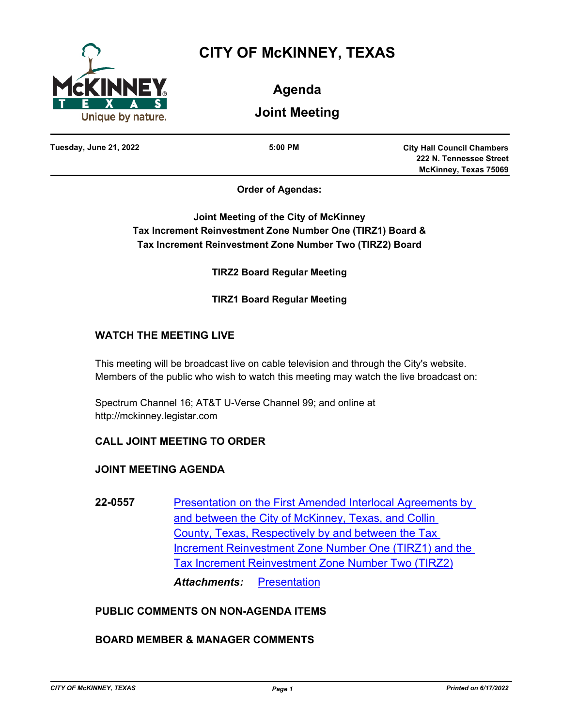

# **CITY OF McKINNEY, TEXAS**

**Agenda**

**Joint Meeting**

**Tuesday, June 21, 2022 5:00 PM**

**City Hall Council Chambers 222 N. Tennessee Street McKinney, Texas 75069**

**Order of Agendas:**

**Joint Meeting of the City of McKinney Tax Increment Reinvestment Zone Number One (TIRZ1) Board & Tax Increment Reinvestment Zone Number Two (TIRZ2) Board**

**TIRZ2 Board Regular Meeting**

**TIRZ1 Board Regular Meeting**

# **WATCH THE MEETING LIVE**

This meeting will be broadcast live on cable television and through the City's website. Members of the public who wish to watch this meeting may watch the live broadcast on:

Spectrum Channel 16; AT&T U-Verse Channel 99; and online at http://mckinney.legistar.com

# **CALL JOINT MEETING TO ORDER**

# **JOINT MEETING AGENDA**

**22-0557** [Presentation on the First Amended Interlocal Agreements by](http://mckinney.legistar.com/gateway.aspx?m=l&id=23973)  and between the City of McKinney, Texas, and Collin County, Texas, Respectively by and between the Tax Increment Reinvestment Zone Number One (TIRZ1) and the Tax Increment Reinvestment Zone Number Two (TIRZ2) *Attachments:* [Presentation](http://McKinney.legistar.com/gateway.aspx?M=F&ID=2a7e3513-8ca5-4266-9c59-f74506a767ad.pdf)

# **PUBLIC COMMENTS ON NON-AGENDA ITEMS**

# **BOARD MEMBER & MANAGER COMMENTS**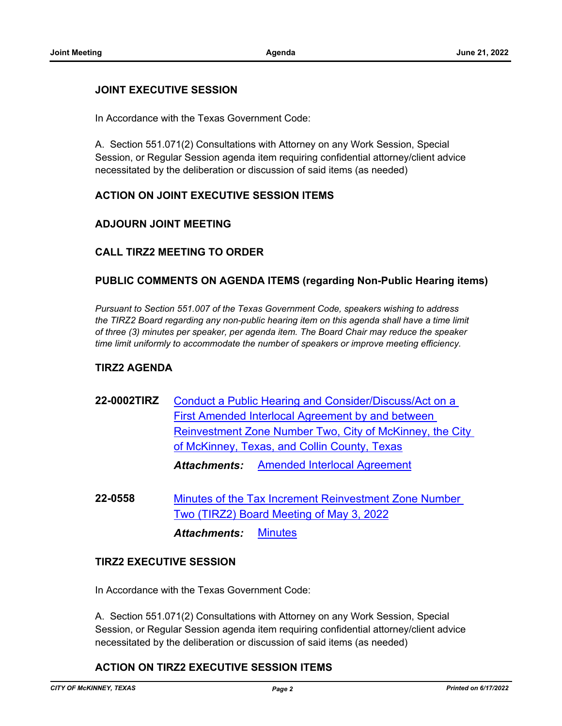#### **JOINT EXECUTIVE SESSION**

In Accordance with the Texas Government Code:

A. Section 551.071(2) Consultations with Attorney on any Work Session, Special Session, or Regular Session agenda item requiring confidential attorney/client advice necessitated by the deliberation or discussion of said items (as needed)

#### **ACTION ON JOINT EXECUTIVE SESSION ITEMS**

#### **ADJOURN JOINT MEETING**

#### **CALL TIRZ2 MEETING TO ORDER**

#### **PUBLIC COMMENTS ON AGENDA ITEMS (regarding Non-Public Hearing items)**

*Pursuant to Section 551.007 of the Texas Government Code, speakers wishing to address the TIRZ2 Board regarding any non-public hearing item on this agenda shall have a time limit of three (3) minutes per speaker, per agenda item. The Board Chair may reduce the speaker time limit uniformly to accommodate the number of speakers or improve meeting efficiency.*

#### **TIRZ2 AGENDA**

- **22-0002TIRZ** Conduct a Public Hearing and Consider/Discuss/Act on a First Amended Interlocal Agreement by and between [Reinvestment Zone Number Two, City of McKinney, the City](http://mckinney.legistar.com/gateway.aspx?m=l&id=23969)  of McKinney, Texas, and Collin County, Texas *Attachments:* [Amended Interlocal Agreement](http://McKinney.legistar.com/gateway.aspx?M=F&ID=5f3a45ba-69ea-460a-856a-556375d66e23.pdf)
- **22-0558** [Minutes of the Tax Increment Reinvestment Zone Number](http://mckinney.legistar.com/gateway.aspx?m=l&id=23975)  Two (TIRZ2) Board Meeting of May 3, 2022

*Attachments:* [Minutes](http://McKinney.legistar.com/gateway.aspx?M=F&ID=6f1e57ab-0bd1-4319-9591-50a5de7050f0.pdf)

#### **TIRZ2 EXECUTIVE SESSION**

In Accordance with the Texas Government Code:

A. Section 551.071(2) Consultations with Attorney on any Work Session, Special Session, or Regular Session agenda item requiring confidential attorney/client advice necessitated by the deliberation or discussion of said items (as needed)

## **ACTION ON TIRZ2 EXECUTIVE SESSION ITEMS**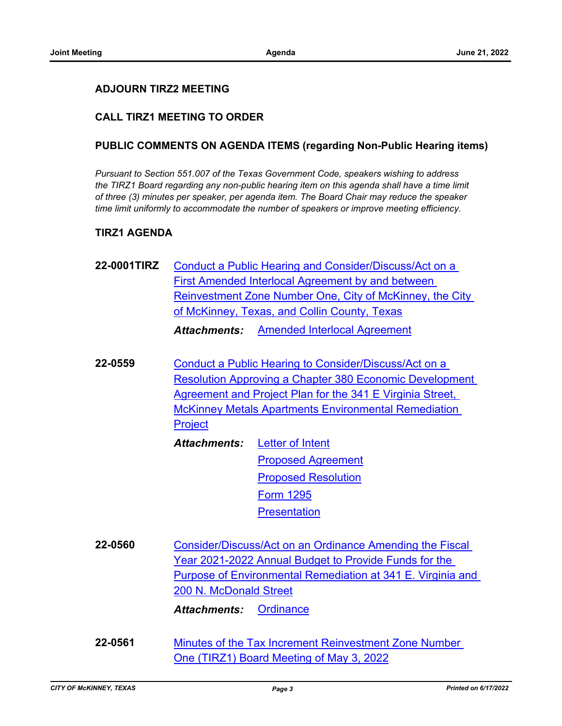#### **ADJOURN TIRZ2 MEETING**

## **CALL TIRZ1 MEETING TO ORDER**

#### **PUBLIC COMMENTS ON AGENDA ITEMS (regarding Non-Public Hearing items)**

*Pursuant to Section 551.007 of the Texas Government Code, speakers wishing to address the TIRZ1 Board regarding any non-public hearing item on this agenda shall have a time limit of three (3) minutes per speaker, per agenda item. The Board Chair may reduce the speaker time limit uniformly to accommodate the number of speakers or improve meeting efficiency.*

#### **TIRZ1 AGENDA**

- **22-0001TIRZ** Conduct a Public Hearing and Consider/Discuss/Act on a First Amended Interlocal Agreement by and between [Reinvestment Zone Number One, City of McKinney, the City](http://mckinney.legistar.com/gateway.aspx?m=l&id=23965)  of McKinney, Texas, and Collin County, Texas *Attachments:* [Amended Interlocal Agreement](http://McKinney.legistar.com/gateway.aspx?M=F&ID=cdd17fa9-ef37-4350-a3fb-7437f2cb9515.pdf)
- **22-0559** Conduct a Public Hearing to Consider/Discuss/Act on a [Resolution Approving a Chapter 380 Economic Development](http://mckinney.legistar.com/gateway.aspx?m=l&id=23943)  Agreement and Project Plan for the 341 E Virginia Street, McKinney Metals Apartments Environmental Remediation **Project** 
	- [Letter of Intent](http://McKinney.legistar.com/gateway.aspx?M=F&ID=96eff7a9-60a1-4b59-ad2d-66d22dfd1b57.pdf) [Proposed Agreement](http://McKinney.legistar.com/gateway.aspx?M=F&ID=0489ccfb-14b9-42a0-a96c-71d80f0da012.pdf) [Proposed Resolution](http://McKinney.legistar.com/gateway.aspx?M=F&ID=31346808-e1dc-4b78-a5a0-fc8b8b2411f3.pdf) [Form 1295](http://McKinney.legistar.com/gateway.aspx?M=F&ID=d2440055-e04d-4437-9bba-b9fc3dde28a1.pdf) **[Presentation](http://McKinney.legistar.com/gateway.aspx?M=F&ID=88b90b1e-b30e-4dc8-8de6-63293825de03.pdf)** *Attachments:*
- **22-0560** Consider/Discuss/Act on an Ordinance Amending the Fiscal Year 2021-2022 Annual Budget to Provide Funds for the [Purpose of Environmental Remediation at 341 E. Virginia and](http://mckinney.legistar.com/gateway.aspx?m=l&id=23839)  200 N. McDonald Street *Attachments:* [Ordinance](http://McKinney.legistar.com/gateway.aspx?M=F&ID=c9566889-46e8-4b62-9670-0852e500627b.docx)

**22-0561** [Minutes of the Tax Increment Reinvestment Zone Number](http://mckinney.legistar.com/gateway.aspx?m=l&id=23974)  One (TIRZ1) Board Meeting of May 3, 2022